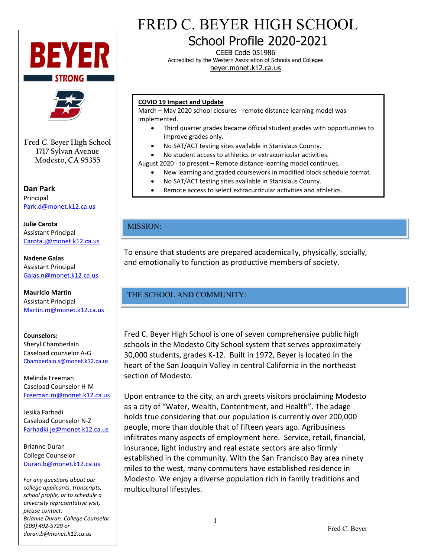



**Fred C. Beyer High School 1717 Sylvan Avenue Modesto, CA 95355**

**Dan Park** Principal [Park.d@monet.k12.ca.us](mailto:Park.d@monet.k12.ca.us)

**Julie Carota** Assistant Principal [Carota.j@monet.k12.ca.us](mailto:Carota.j@monet.k12.ca.us)

**Nadene Galas** Assistant Principal [Galas.n@monet.k12.ca.us](mailto:Galas.n@monet.k12.ca.us)

**Mauricio Martin** Assistant Principal [Martin.m@monet.k12.ca.us](mailto:Martin.m@monet.k12.ca.us)

# **Counselors:**

Sheryl Chamberlain Caseload counselor A-G [Chamberlain.s@monet.k12.ca.us](mailto:Chamberlain.s@monet.k12.ca.us)

Melinda Freeman Caseload Counselor H-M [Freeman.m@monet.k12.ca.us](mailto:Freeman.m@monet.k12.ca.us)

Jesika Farhadi Caseload Counselor N-Z [Farhadki.je@monet.k12.ca.us](mailto:Farhadki.je@monet.k12.ca.us)

Brianne Duran College Counselor [Duran.b@monet.k12.ca.us](mailto:Duran.b@monet.k12.ca.us)

*For any questions about our college applicants, transcripts, school profile, or to schedule a university representative visit, please contact: Brianne Duran, College Counselor (209) 492-5729 or duran.b@monet.k12.ca.us*

# FRED C. BEYER HIGH SCHOOL

School Profile 2020-2021

CEEB Code 051986 Accredited by the Western Association of Schools and Colleges beyer.monet.k12.ca.us

#### **COVID 19 Impact and Update**

March – May 2020 school closures - remote distance learning model was implemented.

- Third quarter grades became official student grades with opportunities to improve grades only.
- No SAT/ACT testing sites available in Stanislaus County.
- No student access to athletics or extracurricular activities.

August 2020 - to present – Remote distance learning model continues.

- New learning and graded coursework in modified block schedule format.
- No SAT/ACT testing sites available in Stanislaus County.
- Remote access to select extracurricular activities and athletics.

# MISSION:

To ensure that students are prepared academically, physically, socially, and emotionally to function as productive members of society.

# THE SCHOOL AND COMMUNITY:

Fred C. Beyer High School is one of seven comprehensive public high schools in the Modesto City School system that serves approximately 30,000 students, grades K-12. Built in 1972, Beyer is located in the heart of the San Joaquin Valley in central California in the northeast section of Modesto.

Upon entrance to the city, an arch greets visitors proclaiming Modesto as a city of "Water, Wealth, Contentment, and Health". The adage holds true considering that our population is currently over 200,000 people, more than double that of fifteen years ago. Agribusiness infiltrates many aspects of employment here. Service, retail, financial, insurance, light industry and real estate sectors are also firmly established in the community. With the San Francisco Bay area ninety miles to the west, many commuters have established residence in Modesto. We enjoy a diverse population rich in family traditions and multicultural lifestyles.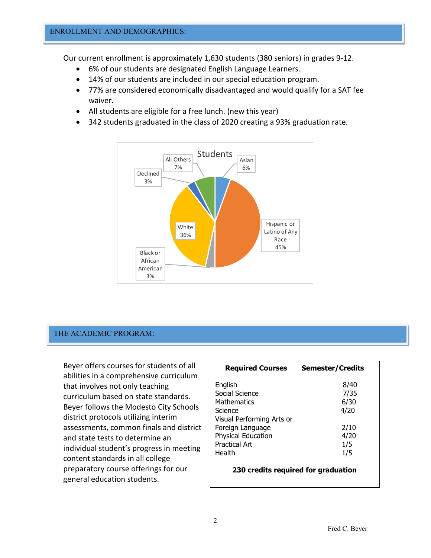Our current enrollment is approximately 1,630 students (380 seniors) in grades 9-12.

- 6% of our students are designated English Language Learners.
- 14% of our students are included in our special education program.
- 77% are considered economically disadvantaged and would qualify for a SAT fee waiver.
- All students are eligible for a free lunch. (new this year)
- 342 students graduated in the class of 2020 creating a 93% graduation rate.



## THE ACADEMIC PROGRAM:

Beyer offers courses for students of all abilities in a comprehensive curriculum that involves not only teaching curriculum based on state standards. Beyer follows the Modesto City Schools district protocols utilizing interim assessments, common finals and district and state tests to determine an individual student's progress in meeting content standards in all college preparatory course offerings for our general education students.

| <b>Required Courses</b>                       | <b>Semester/Credits</b> |
|-----------------------------------------------|-------------------------|
| English                                       | 8/40                    |
| Social Science                                | 7/35                    |
| <b>Mathematics</b>                            | 6/30                    |
| Science                                       | 4/20                    |
| Visual Performing Arts or<br>Foreign Language | 2/10                    |
| Physical Education                            | 4/20                    |
| <b>Practical Art</b>                          | 1/5                     |
| Health                                        | 1/5                     |

**230 credits required for graduation**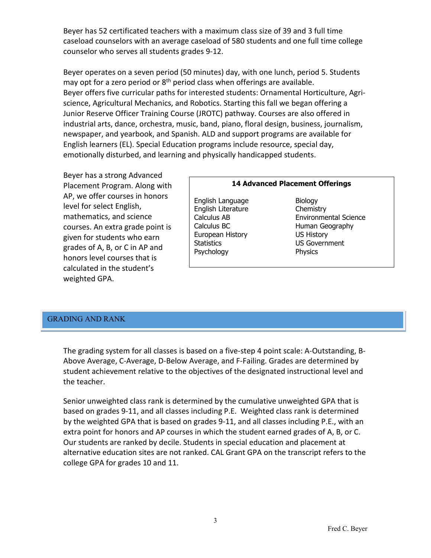Beyer has 52 certificated teachers with a maximum class size of 39 and 3 full time caseload counselors with an average caseload of 580 students and one full time college counselor who serves all students grades 9-12.

Beyer operates on a seven period (50 minutes) day, with one lunch, period 5. Students may opt for a zero period or  $8<sup>th</sup>$  period class when offerings are available. Beyer offers five curricular paths for interested students: Ornamental Horticulture, Agriscience, Agricultural Mechanics, and Robotics. Starting this fall we began offering a Junior Reserve Officer Training Course (JROTC) pathway. Courses are also offered in industrial arts, dance, orchestra, music, band, piano, floral design, business, journalism, newspaper, and yearbook, and Spanish. ALD and support programs are available for English learners (EL). Special Education programs include resource, special day, emotionally disturbed, and learning and physically handicapped students.

Beyer has a strong Advanced Placement Program. Along with AP, we offer courses in honors level for select English, mathematics, and science courses. An extra grade point is given for students who earn grades of A, B, or C in AP and honors level courses that is calculated in the student's weighted GPA.

#### **14 Advanced Placement Offerings**

- English Language Biology<br>English Literature Biology English Literature European History US History Statistics US Government Psychology Physics
- Calculus AB Environmental Science Calculus BC **Human Geography**

## GRADING AND RANK

The grading system for all classes is based on a five-step 4 point scale: A-Outstanding, B-Above Average, C-Average, D-Below Average, and F-Failing. Grades are determined by student achievement relative to the objectives of the designated instructional level and the teacher.

Senior unweighted class rank is determined by the cumulative unweighted GPA that is based on grades 9-11, and all classes including P.E. Weighted class rank is determined by the weighted GPA that is based on grades 9-11, and all classes including P.E., with an extra point for honors and AP courses in which the student earned grades of A, B, or C. Our students are ranked by decile. Students in special education and placement at alternative education sites are not ranked. CAL Grant GPA on the transcript refers to the college GPA for grades 10 and 11.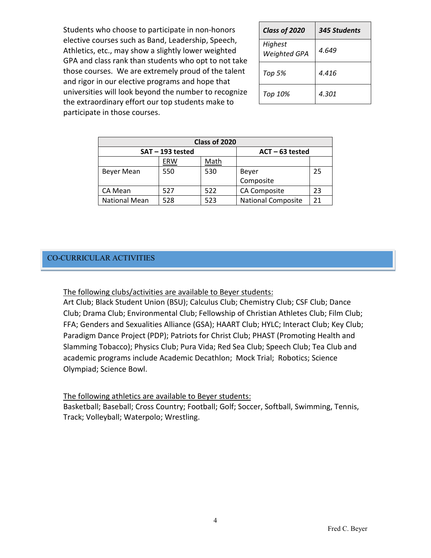Students who choose to participate in non-honors elective courses such as Band, Leadership, Speech, Athletics, etc., may show a slightly lower weighted GPA and class rank than students who opt to not take those courses. We are extremely proud of the talent and rigor in our elective programs and hope that universities will look beyond the number to recognize the extraordinary effort our top students make to participate in those courses.

| Class of 2020                  | 345 Students |
|--------------------------------|--------------|
| Highest<br><b>Weighted GPA</b> | 4.649        |
| <b>Top 5%</b>                  | 4.416        |
| Top 10%                        | 4.301        |

| Class of 2020        |     |                   |                           |    |  |  |
|----------------------|-----|-------------------|---------------------------|----|--|--|
| SAT-193 tested       |     | $ACT - 63$ tested |                           |    |  |  |
|                      | ERW | Math              |                           |    |  |  |
| Beyer Mean           | 550 | 530               | Beyer                     | 25 |  |  |
|                      |     |                   | Composite                 |    |  |  |
| CA Mean              | 527 | 522               | CA Composite              | 23 |  |  |
| <b>National Mean</b> | 528 | 523               | <b>National Composite</b> | 21 |  |  |

## CO-CURRICULAR ACTIVITIES

The following clubs/activities are available to Beyer students:

Art Club; Black Student Union (BSU); Calculus Club; Chemistry Club; CSF Club; Dance Club; Drama Club; Environmental Club; Fellowship of Christian Athletes Club; Film Club; FFA; Genders and Sexualities Alliance (GSA); HAART Club; HYLC; Interact Club; Key Club; Paradigm Dance Project (PDP); Patriots for Christ Club; PHAST (Promoting Health and Slamming Tobacco); Physics Club; Pura Vida; Red Sea Club; Speech Club; Tea Club and academic programs include Academic Decathlon; Mock Trial; Robotics; Science Olympiad; Science Bowl.

## The following athletics are available to Beyer students:

Basketball; Baseball; Cross Country; Football; Golf; Soccer, Softball, Swimming, Tennis, Track; Volleyball; Waterpolo; Wrestling.